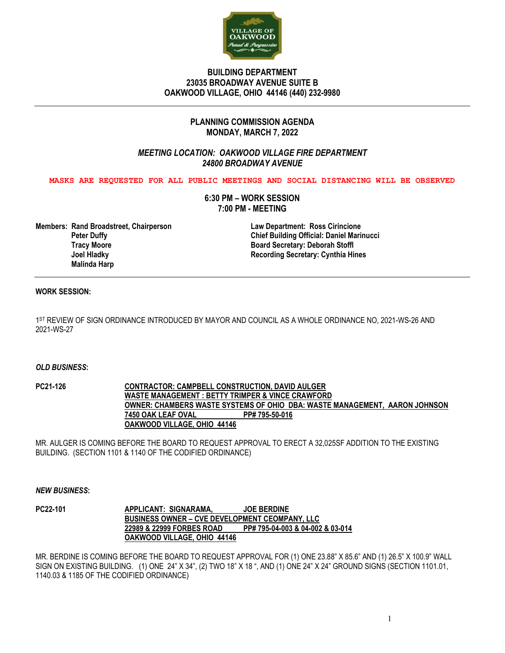

## **BUILDING DEPARTMENT 23035 BROADWAY AVENUE SUITE B OAKWOOD VILLAGE, OHIO 44146 (440) 232-9980**

# **PLANNING COMMISSION AGENDA MONDAY, MARCH 7, 2022**

# *MEETING LOCATION: OAKWOOD VILLAGE FIRE DEPARTMENT 24800 BROADWAY AVENUE*

**MASKS ARE REQUESTED FOR ALL PUBLIC MEETINGS AND SOCIAL DISTANCING WILL BE OBSERVED**

**6:30 PM – WORK SESSION 7:00 PM - MEETING**

**Members: Rand Broadstreet, Chairperson Law Department: Ross Cirincione Tracy Moore Board Secretary: Deborah Stoffl Malinda Harp**

 **Peter Duffy Chief Building Official: Daniel Marinucci Recording Secretary: Cynthia Hines** 

### **WORK SESSION:**

1ST REVIEW OF SIGN ORDINANCE INTRODUCED BY MAYOR AND COUNCIL AS A WHOLE ORDINANCE NO, 2021-WS-26 AND 2021-WS-27

#### *OLD BUSINESS***:**

**PC21-126 CONTRACTOR: CAMPBELL CONSTRUCTION, DAVID AULGER WASTE MANAGEMENT : BETTY TRIMPER & VINCE CRAWFORD OWNER: CHAMBERS WASTE SYSTEMS OF OHIO DBA: WASTE MANAGEMENT, AARON JOHNSON 7450 OAK LEAF OVAL OAKWOOD VILLAGE, OHIO 44146**

MR. AULGER IS COMING BEFORE THE BOARD TO REQUEST APPROVAL TO ERECT A 32,025SF ADDITION TO THE EXISTING BUILDING. (SECTION 1101 & 1140 OF THE CODIFIED ORDINANCE)

### *NEW BUSINESS***:**

**PC22-101 APPLICANT: SIGNARAMA, JOE BERDINE BUSINESS OWNER – CVE DEVELOPMENT CEOMPANY, LLC 22989 & 22999 FORBES ROAD PP# 795-04-003 & 04-002 & 03-014 OAKWOOD VILLAGE, OHIO 44146**

MR. BERDINE IS COMING BEFORE THE BOARD TO REQUEST APPROVAL FOR (1) ONE 23.88" X 85.6" AND (1) 26.5" X 100.9" WALL SIGN ON EXISTING BUILDING. (1) ONE 24" X 34", (2) TWO 18" X 18 ", AND (1) ONE 24" X 24" GROUND SIGNS (SECTION 1101.01, 1140.03 & 1185 OF THE CODIFIED ORDINANCE)